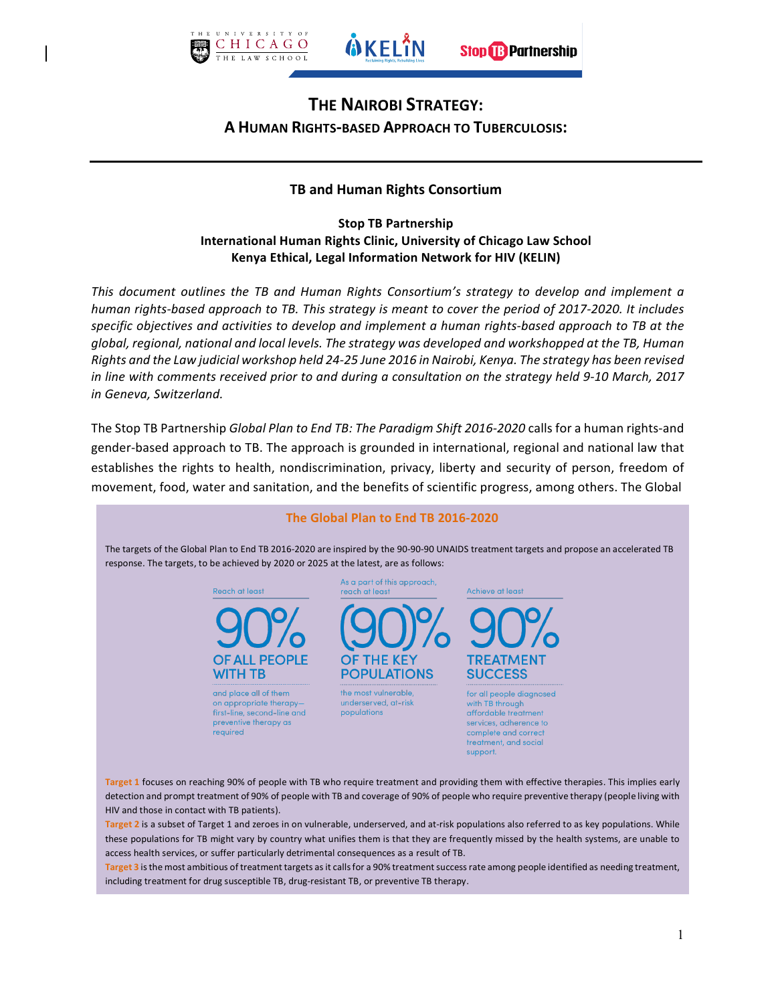

# **THE NAIROBI STRATEGY: A HUMAN RIGHTS-BASED APPROACH TO TUBERCULOSIS:**

# **TB and Human Rights Consortium**

#### **Stop TB Partnership International Human Rights Clinic, University of Chicago Law School Kenya Ethical, Legal Information Network for HIV (KELIN)**

*This* document outlines the TB and Human Rights Consortium's strategy to develop and implement a *human rights-based approach to TB. This strategy is meant to cover the period of 2017-2020. It includes specific* objectives and activities to develop and implement a human rights-based approach to TB at the *global, regional, national and local levels. The strategy was developed and workshopped at the TB, Human Rights* and the Law judicial workshop held 24-25 June 2016 in Nairobi, Kenya. The strategy has been revised *in* line with comments received prior to and during a consultation on the strategy held 9-10 March, 2017 *in Geneva, Switzerland.*

The Stop TB Partnership *Global Plan to End TB: The Paradigm Shift 2016-2020* calls for a human rights-and gender-based approach to TB. The approach is grounded in international, regional and national law that establishes the rights to health, nondiscrimination, privacy, liberty and security of person, freedom of movement, food, water and sanitation, and the benefits of scientific progress, among others. The Global



access health services, or suffer particularly detrimental consequences as a result of TB.

Target 3 is the most ambitious of treatment targets as it calls for a 90% treatment success rate among people identified as needing treatment, including treatment for drug susceptible TB, drug-resistant TB, or preventive TB therapy.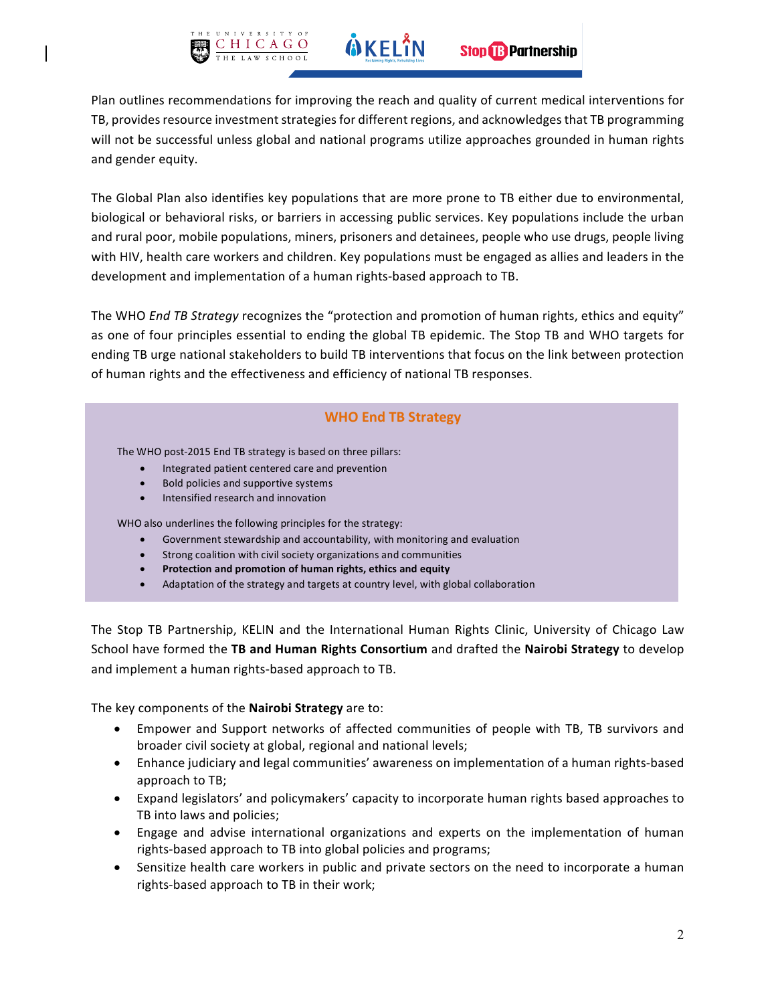

Plan outlines recommendations for improving the reach and quality of current medical interventions for TB, provides resource investment strategies for different regions, and acknowledges that TB programming will not be successful unless global and national programs utilize approaches grounded in human rights and gender equity.

The Global Plan also identifies key populations that are more prone to TB either due to environmental, biological or behavioral risks, or barriers in accessing public services. Key populations include the urban and rural poor, mobile populations, miners, prisoners and detainees, people who use drugs, people living with HIV, health care workers and children. Key populations must be engaged as allies and leaders in the development and implementation of a human rights-based approach to TB.

The WHO *End TB Strategy* recognizes the "protection and promotion of human rights, ethics and equity" as one of four principles essential to ending the global TB epidemic. The Stop TB and WHO targets for ending TB urge national stakeholders to build TB interventions that focus on the link between protection of human rights and the effectiveness and efficiency of national TB responses.

# **WHO End TB Strategy**

The WHO post-2015 End TB strategy is based on three pillars:

- Integrated patient centered care and prevention
- Bold policies and supportive systems
- Intensified research and innovation

WHO also underlines the following principles for the strategy:

- Government stewardship and accountability, with monitoring and evaluation
- Strong coalition with civil society organizations and communities
- **•** Protection and promotion of human rights, ethics and equity
- Adaptation of the strategy and targets at country level, with global collaboration

The Stop TB Partnership, KELIN and the International Human Rights Clinic, University of Chicago Law School have formed the **TB and Human Rights Consortium** and drafted the **Nairobi Strategy** to develop and implement a human rights-based approach to TB.

The key components of the **Nairobi Strategy** are to:

- Empower and Support networks of affected communities of people with TB, TB survivors and broader civil society at global, regional and national levels;
- Enhance judiciary and legal communities' awareness on implementation of a human rights-based approach to TB;
- Expand legislators' and policymakers' capacity to incorporate human rights based approaches to TB into laws and policies;
- Engage and advise international organizations and experts on the implementation of human rights-based approach to TB into global policies and programs;
- Sensitize health care workers in public and private sectors on the need to incorporate a human rights-based approach to TB in their work;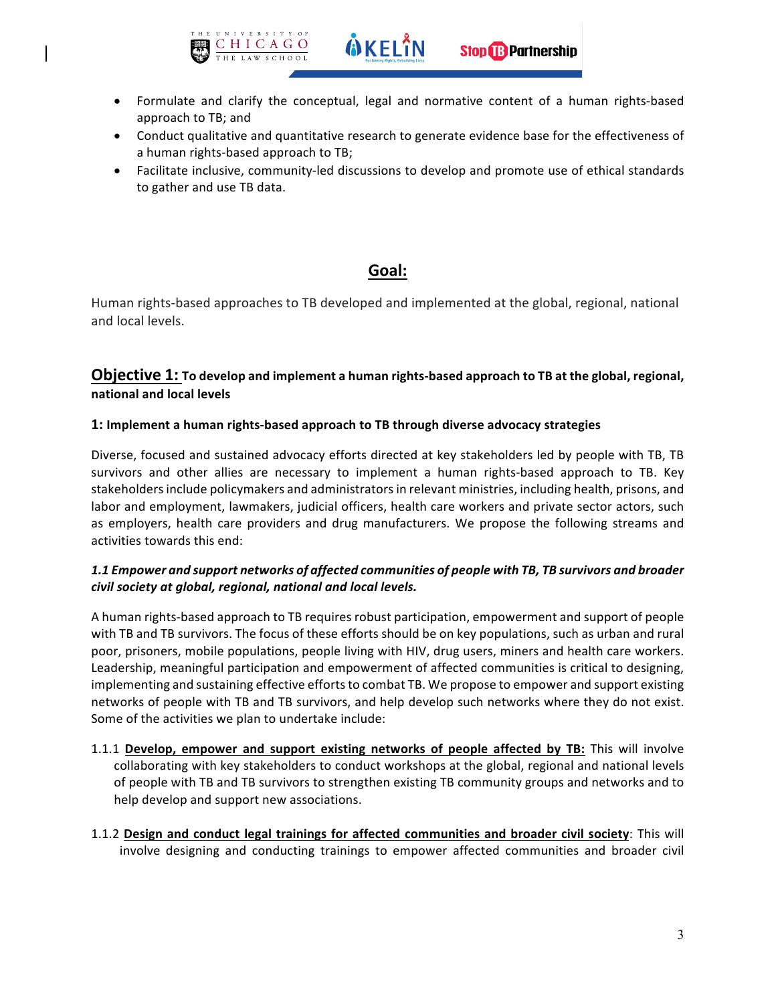

• Formulate and clarify the conceptual, legal and normative content of a human rights-based approach to TB; and

**WKELIN** 

- Conduct qualitative and quantitative research to generate evidence base for the effectiveness of a human rights-based approach to TB;
- Facilitate inclusive, community-led discussions to develop and promote use of ethical standards to gather and use TB data.

# **Goal:**

Human rights-based approaches to TB developed and implemented at the global, regional, national and local levels.

# **Objective 1:** To develop and implement a human rights-based approach to TB at the global, regional, **national and local levels**

#### 1: Implement a human rights-based approach to TB through diverse advocacy strategies

Diverse, focused and sustained advocacy efforts directed at key stakeholders led by people with TB, TB survivors and other allies are necessary to implement a human rights-based approach to TB. Key stakeholders include policymakers and administrators in relevant ministries, including health, prisons, and labor and employment, lawmakers, judicial officers, health care workers and private sector actors, such as employers, health care providers and drug manufacturers. We propose the following streams and activities towards this end:

#### *1.1 Empower and support networks of affected communities of people with TB, TB survivors and broader* civil society at global, regional, national and local levels.

A human rights-based approach to TB requires robust participation, empowerment and support of people with TB and TB survivors. The focus of these efforts should be on key populations, such as urban and rural poor, prisoners, mobile populations, people living with HIV, drug users, miners and health care workers. Leadership, meaningful participation and empowerment of affected communities is critical to designing, implementing and sustaining effective efforts to combat TB. We propose to empower and support existing networks of people with TB and TB survivors, and help develop such networks where they do not exist. Some of the activities we plan to undertake include:

- 1.1.1 Develop, empower and support existing networks of people affected by TB: This will involve collaborating with key stakeholders to conduct workshops at the global, regional and national levels of people with TB and TB survivors to strengthen existing TB community groups and networks and to help develop and support new associations.
- 1.1.2 Design and conduct legal trainings for affected communities and broader civil society: This will involve designing and conducting trainings to empower affected communities and broader civil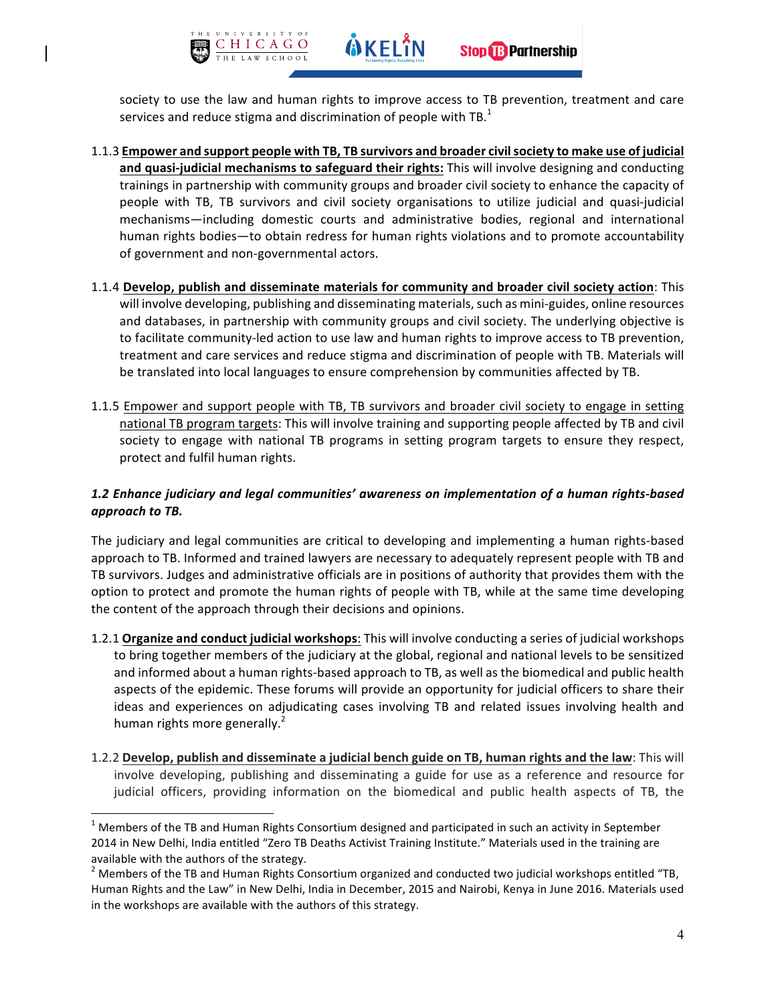

- 1.1.3 **Empower and support people with TB, TB survivors and broader civil society to make use of judicial** and quasi-judicial mechanisms to safeguard their rights: This will involve designing and conducting trainings in partnership with community groups and broader civil society to enhance the capacity of people with TB, TB survivors and civil society organisations to utilize judicial and quasi-judicial mechanisms—including domestic courts and administrative bodies, regional and international human rights bodies—to obtain redress for human rights violations and to promote accountability of government and non-governmental actors.
- **1.1.4 Develop, publish and disseminate materials for community and broader civil society action:** This will involve developing, publishing and disseminating materials, such as mini-guides, online resources and databases, in partnership with community groups and civil society. The underlying objective is to facilitate community-led action to use law and human rights to improve access to TB prevention, treatment and care services and reduce stigma and discrimination of people with TB. Materials will be translated into local languages to ensure comprehension by communities affected by TB.
- 1.1.5 Empower and support people with TB, TB survivors and broader civil society to engage in setting national TB program targets: This will involve training and supporting people affected by TB and civil society to engage with national TB programs in setting program targets to ensure they respect, protect and fulfil human rights.

# 1.2 *Enhance judiciary and legal communities'* awareness on implementation of a human rights-based *approach to TB.*

The judiciary and legal communities are critical to developing and implementing a human rights-based approach to TB. Informed and trained lawyers are necessary to adequately represent people with TB and TB survivors. Judges and administrative officials are in positions of authority that provides them with the option to protect and promote the human rights of people with TB, while at the same time developing the content of the approach through their decisions and opinions.

- 1.2.1 Organize and conduct judicial workshops: This will involve conducting a series of judicial workshops to bring together members of the judiciary at the global, regional and national levels to be sensitized and informed about a human rights-based approach to TB, as well as the biomedical and public health aspects of the epidemic. These forums will provide an opportunity for judicial officers to share their ideas and experiences on adjudicating cases involving TB and related issues involving health and human rights more generally. $<sup>2</sup>$ </sup>
- 1.2.2 Develop, publish and disseminate a judicial bench guide on TB, human rights and the law: This will involve developing, publishing and disseminating a guide for use as a reference and resource for judicial officers, providing information on the biomedical and public health aspects of TB, the

 $<sup>1</sup>$  Members of the TB and Human Rights Consortium designed and participated in such an activity in September</sup> 2014 in New Delhi, India entitled "Zero TB Deaths Activist Training Institute." Materials used in the training are

available with the authors of the strategy.<br>
<sup>2</sup> Members of the TB and Human Rights Consortium organized and conducted two judicial workshops entitled "TB, Human Rights and the Law" in New Delhi, India in December, 2015 and Nairobi, Kenya in June 2016. Materials used in the workshops are available with the authors of this strategy.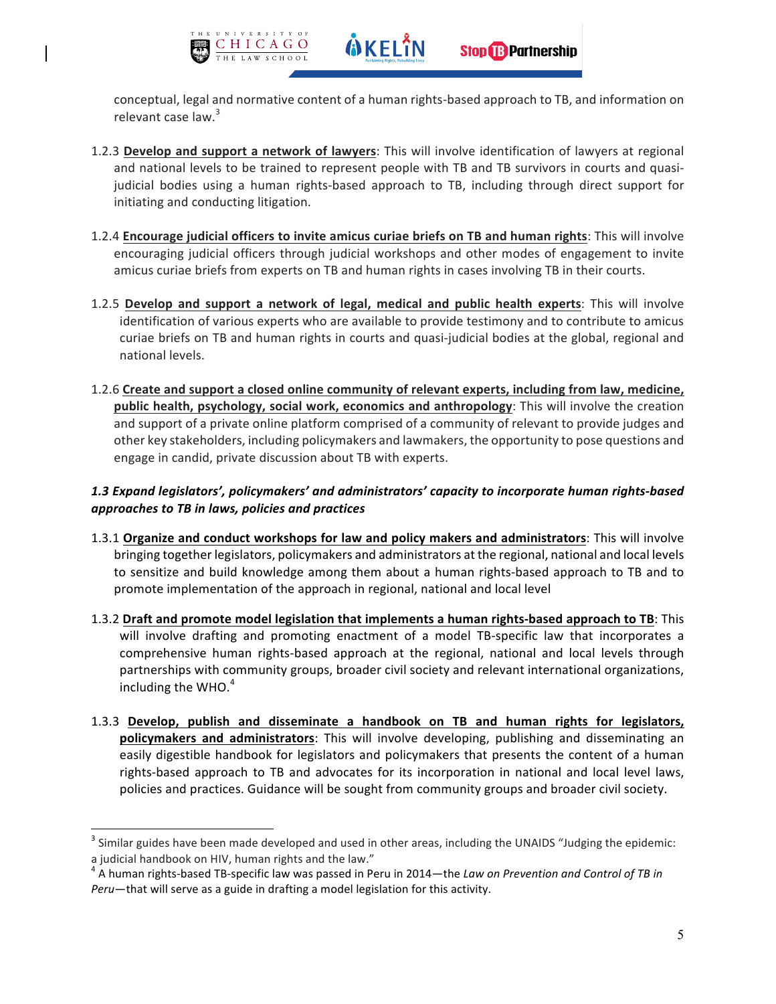

conceptual, legal and normative content of a human rights-based approach to TB, and information on relevant case law.<sup>3</sup>

- 1.2.3 Develop and support a network of lawyers: This will involve identification of lawyers at regional and national levels to be trained to represent people with TB and TB survivors in courts and quasijudicial bodies using a human rights-based approach to TB, including through direct support for initiating and conducting litigation.
- 1.2.4 **Encourage judicial officers to invite amicus curiae briefs on TB and human rights**: This will involve encouraging judicial officers through judicial workshops and other modes of engagement to invite amicus curiae briefs from experts on TB and human rights in cases involving TB in their courts.
- 1.2.5 Develop and support a network of legal, medical and public health experts: This will involve identification of various experts who are available to provide testimony and to contribute to amicus curiae briefs on TB and human rights in courts and quasi-judicial bodies at the global, regional and national levels.
- 1.2.6 Create and support a closed online community of relevant experts, including from law, medicine, public health, psychology, social work, economics and anthropology: This will involve the creation and support of a private online platform comprised of a community of relevant to provide judges and other key stakeholders, including policymakers and lawmakers, the opportunity to pose questions and engage in candid, private discussion about TB with experts.

## *1.3 Expand legislators', policymakers' and administrators' capacity to incorporate human rights-based approaches to TB in laws, policies and practices*

- **1.3.1 Organize and conduct workshops for law and policy makers and administrators:** This will involve bringing together legislators, policymakers and administrators at the regional, national and local levels to sensitize and build knowledge among them about a human rights-based approach to TB and to promote implementation of the approach in regional, national and local level
- 1.3.2 Draft and promote model legislation that implements a human rights-based approach to TB: This will involve drafting and promoting enactment of a model TB-specific law that incorporates a comprehensive human rights-based approach at the regional, national and local levels through partnerships with community groups, broader civil society and relevant international organizations, including the WHO. $4$
- 1.3.3 **Develop, publish and disseminate a handbook on TB and human rights for legislators, policymakers and administrators**: This will involve developing, publishing and disseminating an easily digestible handbook for legislators and policymakers that presents the content of a human rights-based approach to TB and advocates for its incorporation in national and local level laws, policies and practices. Guidance will be sought from community groups and broader civil society.

 $3$  Similar guides have been made developed and used in other areas, including the UNAIDS "Judging the epidemic: a judicial handbook on HIV, human rights and the law."

 $^4$  A human rights-based TB-specific law was passed in Peru in 2014—the *Law on Prevention and Control of TB in Peru*—that will serve as a guide in drafting a model legislation for this activity.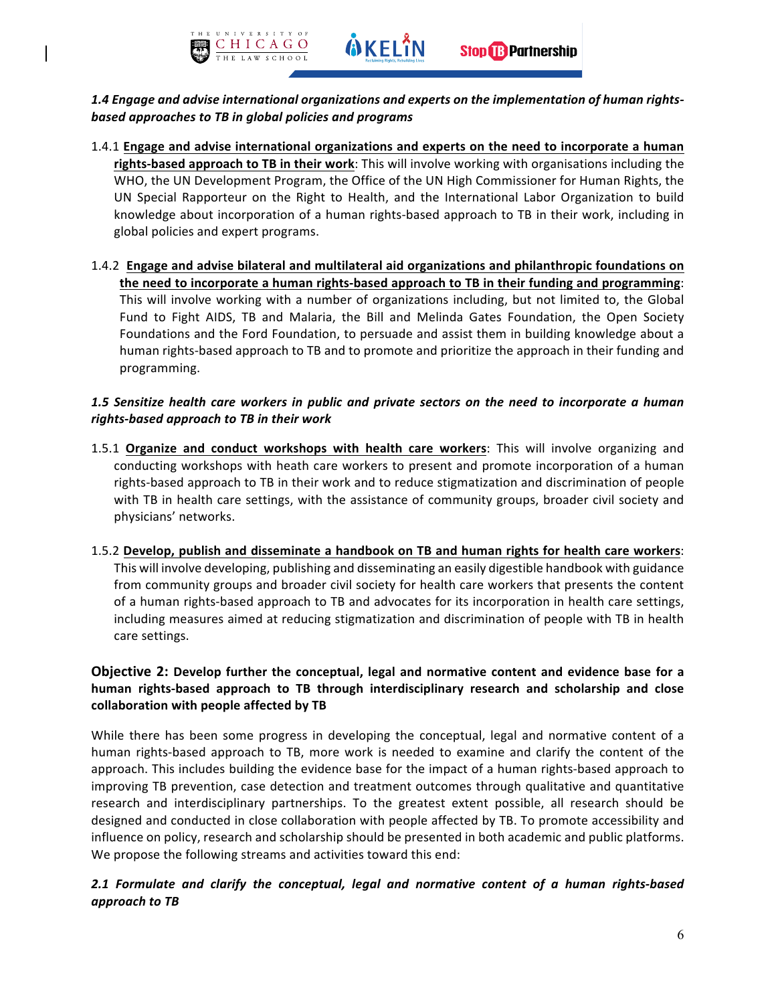

- 1.4.1 Engage and advise international organizations and experts on the need to incorporate a human rights-based approach to TB in their work: This will involve working with organisations including the WHO, the UN Development Program, the Office of the UN High Commissioner for Human Rights, the UN Special Rapporteur on the Right to Health, and the International Labor Organization to build knowledge about incorporation of a human rights-based approach to TB in their work, including in global policies and expert programs.
- 1.4.2 Engage and advise bilateral and multilateral aid organizations and philanthropic foundations on the need to incorporate a human rights-based approach to TB in their funding and programming: This will involve working with a number of organizations including, but not limited to, the Global Fund to Fight AIDS, TB and Malaria, the Bill and Melinda Gates Foundation, the Open Society Foundations and the Ford Foundation, to persuade and assist them in building knowledge about a human rights-based approach to TB and to promote and prioritize the approach in their funding and programming.

#### 1.5 Sensitize health care workers in public and private sectors on the need to incorporate a human *rights-based approach to TB in their work*

- 1.5.1 Organize and conduct workshops with health care workers: This will involve organizing and conducting workshops with heath care workers to present and promote incorporation of a human rights-based approach to TB in their work and to reduce stigmatization and discrimination of people with TB in health care settings, with the assistance of community groups, broader civil society and physicians' networks.
- 1.5.2 Develop, publish and disseminate a handbook on TB and human rights for health care workers: This will involve developing, publishing and disseminating an easily digestible handbook with guidance from community groups and broader civil society for health care workers that presents the content of a human rights-based approach to TB and advocates for its incorporation in health care settings, including measures aimed at reducing stigmatization and discrimination of people with TB in health care settings.

# **Objective 2:** Develop further the conceptual, legal and normative content and evidence base for a **human rights-based approach to TB through interdisciplinary research and scholarship and close**  collaboration with people affected by TB

While there has been some progress in developing the conceptual, legal and normative content of a human rights-based approach to TB, more work is needed to examine and clarify the content of the approach. This includes building the evidence base for the impact of a human rights-based approach to improving TB prevention, case detection and treatment outcomes through qualitative and quantitative research and interdisciplinary partnerships. To the greatest extent possible, all research should be designed and conducted in close collaboration with people affected by TB. To promote accessibility and influence on policy, research and scholarship should be presented in both academic and public platforms. We propose the following streams and activities toward this end:

# 2.1 Formulate and clarify the conceptual, legal and normative content of a human rights-based *approach to TB*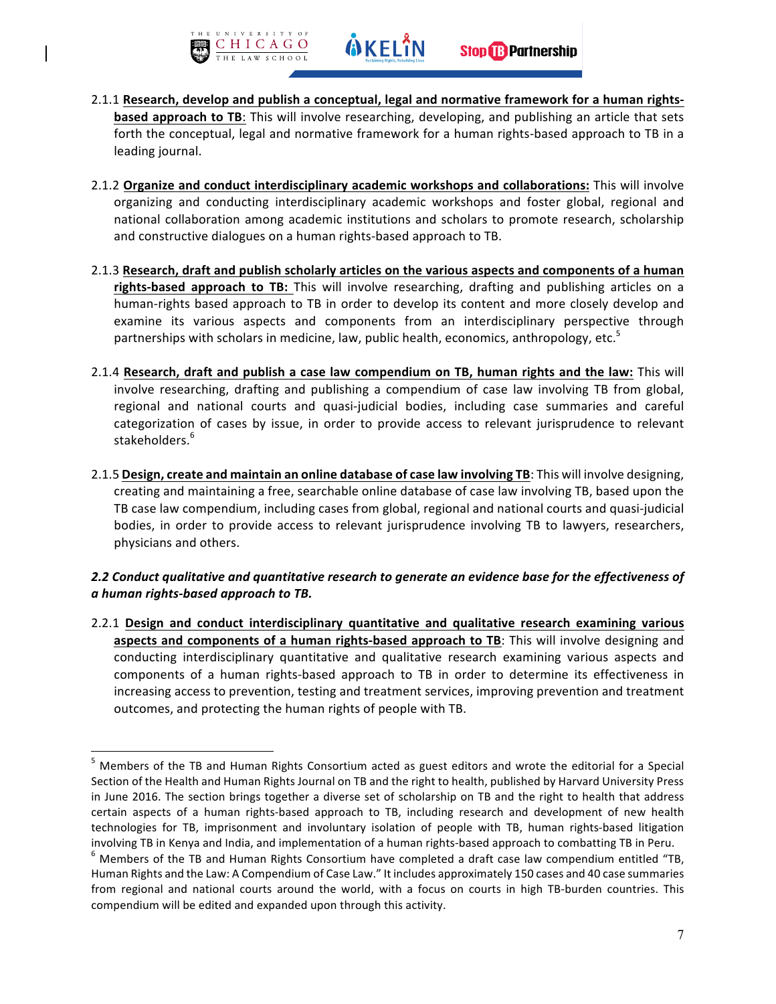

- 2.1.1 Research, develop and publish a conceptual, legal and normative framework for a human rights**based approach to TB**: This will involve researching, developing, and publishing an article that sets forth the conceptual, legal and normative framework for a human rights-based approach to TB in a leading journal.
- 2.1.2 Organize and conduct interdisciplinary academic workshops and collaborations: This will involve organizing and conducting interdisciplinary academic workshops and foster global, regional and national collaboration among academic institutions and scholars to promote research, scholarship and constructive dialogues on a human rights-based approach to TB.
- 2.1.3 Research, draft and publish scholarly articles on the various aspects and components of a human **rights-based approach to TB:** This will involve researching, drafting and publishing articles on a human-rights based approach to TB in order to develop its content and more closely develop and examine its various aspects and components from an interdisciplinary perspective through partnerships with scholars in medicine, law, public health, economics, anthropology, etc. $5$
- 2.1.4 Research, draft and publish a case law compendium on TB, human rights and the law: This will involve researching, drafting and publishing a compendium of case law involving TB from global, regional and national courts and quasi-judicial bodies, including case summaries and careful categorization of cases by issue, in order to provide access to relevant jurisprudence to relevant stakeholders.<sup>6</sup>
- 2.1.5 Design, create and maintain an online database of case law involving TB: This will involve designing, creating and maintaining a free, searchable online database of case law involving TB, based upon the TB case law compendium, including cases from global, regional and national courts and quasi-judicial bodies, in order to provide access to relevant jurisprudence involving TB to lawyers, researchers, physicians and others.

## 2.2 Conduct qualitative and quantitative research to generate an evidence base for the effectiveness of *a human rights-based approach to TB.*

2.2.1 Design and conduct interdisciplinary quantitative and qualitative research examining various aspects and components of a human rights-based approach to TB: This will involve designing and conducting interdisciplinary quantitative and qualitative research examining various aspects and components of a human rights-based approach to TB in order to determine its effectiveness in increasing access to prevention, testing and treatment services, improving prevention and treatment outcomes, and protecting the human rights of people with TB.

 $5$  Members of the TB and Human Rights Consortium acted as guest editors and wrote the editorial for a Special Section of the Health and Human Rights Journal on TB and the right to health, published by Harvard University Press in June 2016. The section brings together a diverse set of scholarship on TB and the right to health that address certain aspects of a human rights-based approach to TB, including research and development of new health technologies for TB, imprisonment and involuntary isolation of people with TB, human rights-based litigation involving TB in Kenya and India, and implementation of a human rights-based approach to combatting TB in Peru.<br>
<sup>6</sup> Members of the TB and Human Rights Consortium have completed a draft case law compendium entitled "TB,

Human Rights and the Law: A Compendium of Case Law." It includes approximately 150 cases and 40 case summaries from regional and national courts around the world, with a focus on courts in high TB-burden countries. This compendium will be edited and expanded upon through this activity.